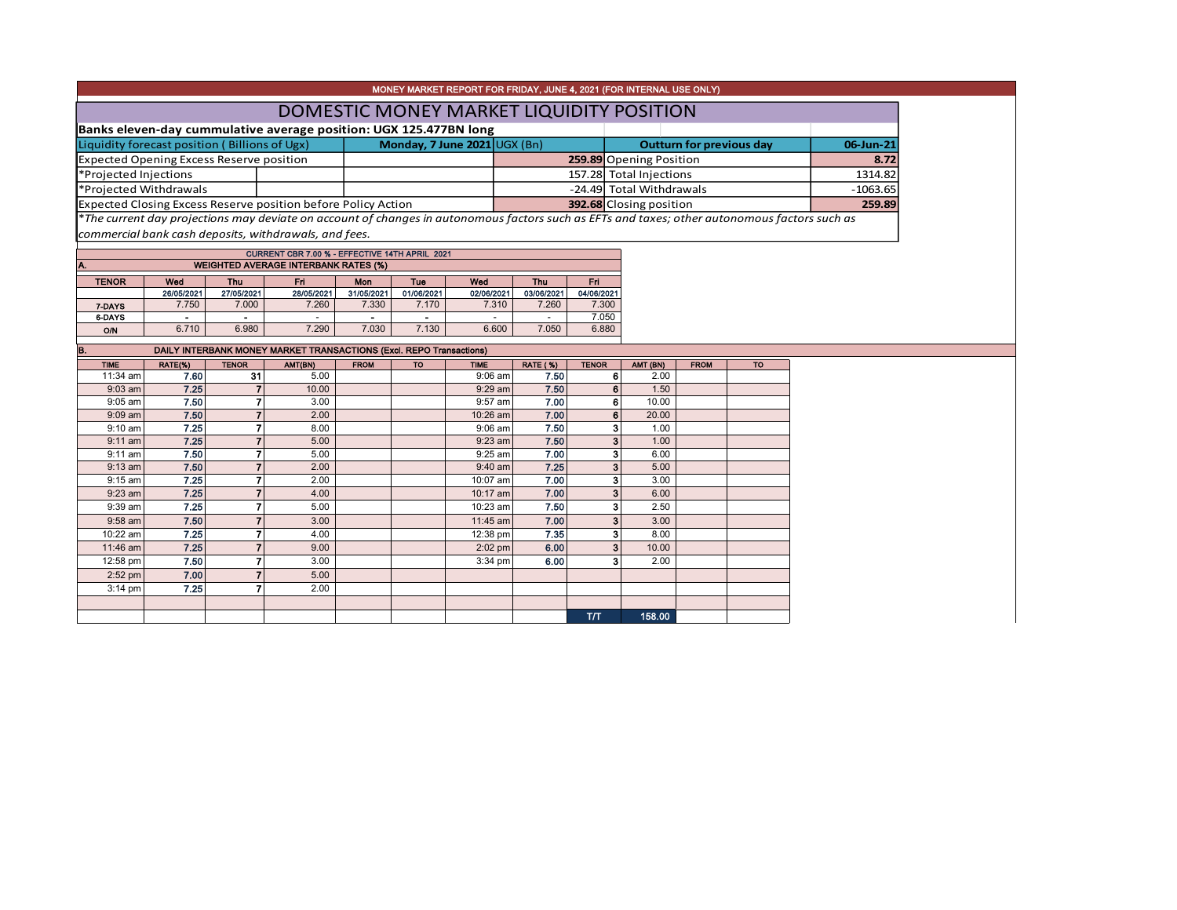|                                                 |                        |                                                               |                                                                                                                                                        |            |                                |                         |            |            | MONEY MARKET REPORT FOR FRIDAY, JUNE 4, 2021 (FOR INTERNAL USE ONLY)                                                                          |            |
|-------------------------------------------------|------------------------|---------------------------------------------------------------|--------------------------------------------------------------------------------------------------------------------------------------------------------|------------|--------------------------------|-------------------------|------------|------------|-----------------------------------------------------------------------------------------------------------------------------------------------|------------|
|                                                 |                        |                                                               |                                                                                                                                                        |            |                                |                         |            |            | DOMESTIC MONEY MARKET LIQUIDITY POSITION                                                                                                      |            |
|                                                 |                        |                                                               | Banks eleven-day cummulative average position: UGX 125.477BN long                                                                                      |            |                                |                         |            |            |                                                                                                                                               |            |
| Liquidity forecast position (Billions of Ugx)   |                        |                                                               |                                                                                                                                                        |            | Monday, 7 June $2021$ UGX (Bn) |                         |            |            | <b>Outturn for previous day</b>                                                                                                               | 06-Jun-21  |
| <b>Expected Opening Excess Reserve position</b> |                        |                                                               |                                                                                                                                                        |            |                                | 259.89 Opening Position | 8.72       |            |                                                                                                                                               |            |
| *Projected Injections                           |                        |                                                               |                                                                                                                                                        |            |                                |                         |            |            | 157.28 Total Injections                                                                                                                       | 1314.82    |
|                                                 | *Projected Withdrawals |                                                               |                                                                                                                                                        |            |                                |                         |            |            | -24.49 Total Withdrawals                                                                                                                      | $-1063.65$ |
|                                                 |                        | Expected Closing Excess Reserve position before Policy Action |                                                                                                                                                        |            |                                | 392.68 Closing position | 259.89     |            |                                                                                                                                               |            |
|                                                 |                        |                                                               | commercial bank cash deposits, withdrawals, and fees.<br>CURRENT CBR 7.00 % - EFFECTIVE 14TH APRIL 2021<br><b>WEIGHTED AVERAGE INTERBANK RATES (%)</b> |            |                                |                         |            |            | *The current day projections may deviate on account of changes in autonomous factors such as EFTs and taxes; other autonomous factors such as |            |
| <b>TENOR</b>                                    | Wed                    | <b>Thu</b>                                                    | <b>Fri</b>                                                                                                                                             | Mon        | <b>Tue</b>                     | Wod                     | <b>Thu</b> | Fri.       |                                                                                                                                               |            |
|                                                 | 26/05/2021             | 27/05/2021                                                    | 28/05/2021                                                                                                                                             | 31/05/2021 | 01/06/2021                     | 02/06/2021              | 03/06/2021 | 04/06/2021 |                                                                                                                                               |            |
| 7-DAYS                                          | 7.750                  | 7.000                                                         | 7.260                                                                                                                                                  | 7.330      | 7.170                          | 7.310                   | 7.260      | 7.300      |                                                                                                                                               |            |
| 6-DAYS                                          |                        |                                                               |                                                                                                                                                        |            |                                |                         |            | 7.050      |                                                                                                                                               |            |
| <b>O/N</b>                                      | 6.710                  | 6.980                                                         | 7.290                                                                                                                                                  | 7.030      | 7.130                          | 6.600                   | 7.050      | 6.880      |                                                                                                                                               |            |
| IB.                                             |                        |                                                               | DAILY INTERBANK MONEY MARKET TRANSACTIONS (Excl. REPO Transactions)                                                                                    |            |                                |                         |            |            |                                                                                                                                               |            |

| <b>TIME</b> | RATE(%) | <b>TENOR</b> | AMT(BN) | <b>FROM</b> | <b>TO</b> | <b>TIME</b> | <b>RATE (%)</b> | <b>TENOR</b>   | AMT (BN) | <b>FROM</b> | <b>TO</b> |
|-------------|---------|--------------|---------|-------------|-----------|-------------|-----------------|----------------|----------|-------------|-----------|
| 11:34 am    | 7.60    | 31           | 5.00    |             |           | $9:06$ am   | 7.50            | 6              | 2.00     |             |           |
| $9:03$ am   | 7.25    |              | 10.00   |             |           | 9:29 am     | 7.50            | 6              | 1.50     |             |           |
| $9:05$ am   | 7.50    |              | 3.00    |             |           | 9:57 am     | 7.00            | 6              | 10.00    |             |           |
| $9:09$ am   | 7.50    |              | 2.00    |             |           | 10:26 am    | 7.00            | 6              | 20.00    |             |           |
| $9:10$ am   | 7.25    |              | 8.00    |             |           | $9:06$ am   | 7.50            | 3              | 1.00     |             |           |
| $9:11$ am   | 7.25    |              | 5.00    |             |           | 9:23 am     | 7.50            | 3              | 1.00     |             |           |
| $9:11$ am   | 7.50    |              | 5.00    |             |           | 9:25 am     | 7.00            | 3              | 6.00     |             |           |
| $9:13$ am   | 7.50    |              | 2.00    |             |           | $9:40$ am   | 7.25            | 3 <sub>1</sub> | 5.00     |             |           |
| $9:15$ am   | 7.25    | 7            | 2.00    |             |           | 10:07 am    | 7.00            | 3              | 3.00     |             |           |
| $9:23$ am   | 7.25    |              | 4.00    |             |           | 10:17 am    | 7.00            | 3              | 6.00     |             |           |
| 9:39 am     | 7.25    |              | 5.00    |             |           | 10:23 am    | 7.50            | 3              | 2.50     |             |           |
| $9:58$ am   | 7.50    |              | 3.00    |             |           | 11:45 am    | 7.00            | 3 <sub>1</sub> | 3.00     |             |           |
| 10:22 am    | 7.25    |              | 4.00    |             |           | 12:38 pm    | 7.35            | 3              | 8.00     |             |           |
| 11:46 am    | 7.25    |              | 9.00    |             |           | 2:02 pm     | 6.00            | 3              | 10.00    |             |           |
| 12:58 pm    | 7.50    | 7            | 3.00    |             |           | 3:34 pm     | 6.00            | 3              | 2.00     |             |           |
| $2:52$ pm   | 7.00    | 7            | 5.00    |             |           |             |                 |                |          |             |           |
| $3:14$ pm   | 7.25    |              | 2.00    |             |           |             |                 |                |          |             |           |
|             |         |              |         |             |           |             |                 |                |          |             |           |
|             |         |              |         |             |           |             |                 | <b>T/T</b>     | 158.00   |             |           |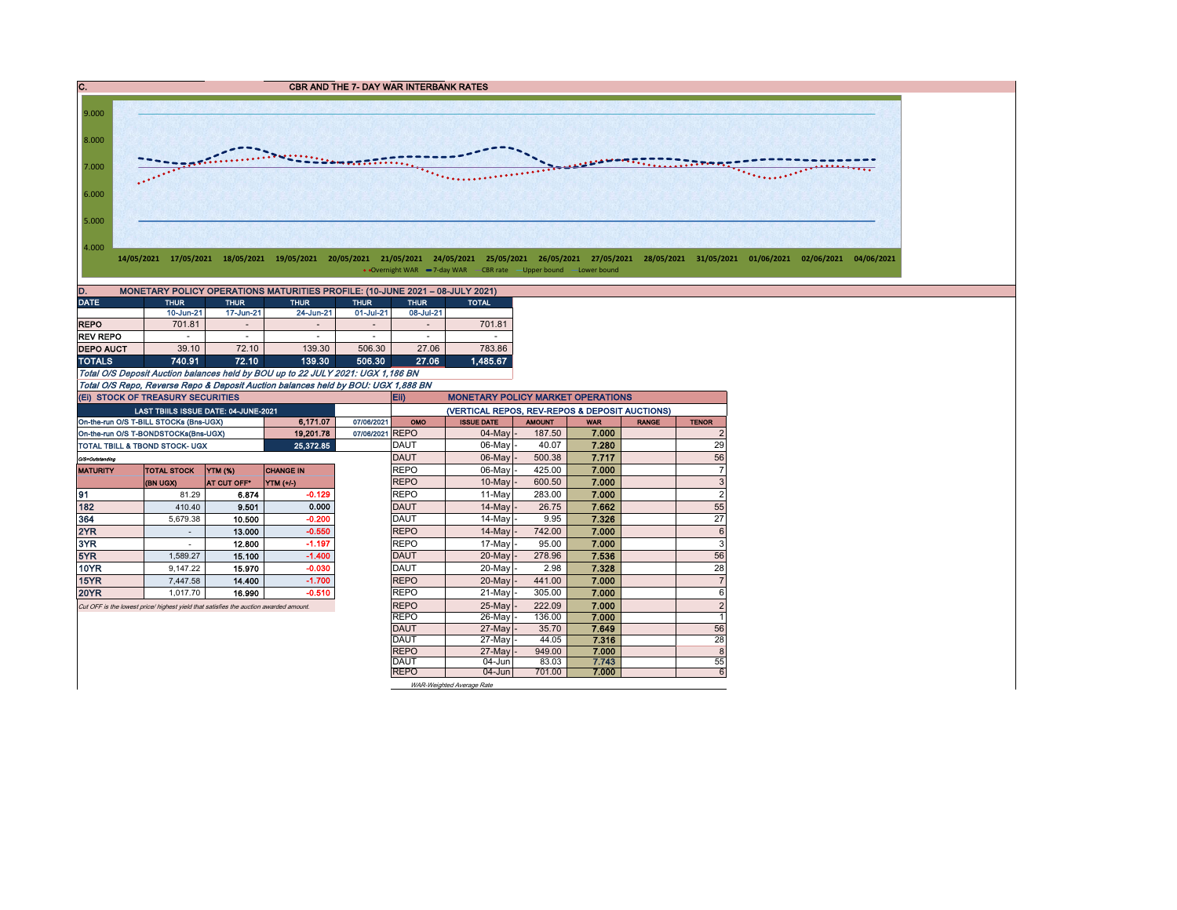C. C. CBR AND THE 7- DAY WAR INTERBANK RATES 9.000 8.000 The London Committee Committee (2007) 7.000 6.000 5.000 4.000 14/05/2021 17/05/2021 18/05/2021 19/05/2021 20/05/2021 21/05/2021 24/05/2021 25/05/2021 26/05/2021 27/05/2021 28/05/2021 31/05/2021 01/06/2021 02/06/2021 04/06/2021 • Overnight WAR -7-day WAR - CBR rate - Upper bound - Lower bound D. MONETARY POLICY OPERATIONS MATURITIES PROFILE: (10-JUNE 2021 – 08-JULY 2021)<br>DATE THUR THUR THUR THUR THUR THUR THUR TOTAL DATE THUR THUR THUR THUR THUR TOTAL 10-Jun-21 17-Jun-21 24-Jun-21 01-Jul-21 08-Jul-21 REPO | 701.81 - | - | - | - | 701.81 REV REPO - - - - - - **DEPO AUCT** 39.10 72.10 139.30 506.30 27.06 783.86 TOTALS 740.91 72.10 139.30 506.30 27.06 1,485.67 Total O/S Deposit Auction balances held by BOU up to 22 JULY 2021: UGX 1,186 BN Total O/S Repo, Reverse Repo & Deposit Auction balances held by BOU: UGX 1,888 BN (Ei) STOCK OF TREASURY SECURITIES Eii) MONETARY POLICY MARKET OPERATIONS (VERTICAL REPOS, REV-REPOS & DEPOSIT AUCTIONS) LAST TBIILS ISSUE DATE: 04-JUNE-2021 On-the-run O/S T-BILL STOCKs (Bns-UGX) **6,171.07** 07/06/2021 OMO ISSUE DATE AMOUNT WAR RANGE TENOR On-the-run O/S T-BONDSTOCKs(Bns-UGX) | 19,201.78 07/06/2021 REPO | 04-May - 187.50 7.000 | 2 TOTAL TBILL & TBOND STOCK- UGX **25,372.85** DAUT 06-May - 40.07 7.280 29 O/S=Outstanding DAUT 06-May - 500.38 7.717 56 MATURITY TOTAL STOCK YTM (%) CHANGE IN REPO 86-May - 425.00 7.**000** 7. (BN UGX) AT CUT OFF\* YTM (+/-) 10-May |- 600.50 **| 7.000** | 3 91 81.29 6.874 -0.129 REPO 11-May 283.00 7.000 2 182 410.40 9.501 0.000 DAUT 14-May - 26.75 7.662 55 364 | 5,679.38 | **10.500 | -0.200 | |**DAUT | 14-May |- 9.95 | **7.326 |** 27 2YR - 13.000 -0.550 REPO 14-May - 742.00 7.000 6 3YR | - | 12.800 | -1.197 | |REPO | 17-May|- 95.00 | **7.000 |** | 3 5YR | 1,589.27 | **15.100 | -1.400 |** |DAUT | 20-May |- 278.96 | **7.536 | |** 56 10YR 9,147.22 15.970 -0.030 DAUT 20-May - 2.98 7.328 28 15YR 7,447.58 14.400 -1.700 REPO 20-May - 441.00 7.000 7 20YR 1,017.70 16.990 -0.510 REPO 21-May - 305.00 7.000 6 Cut OFF is the lowest price/ highest yield that satisfies the auction awarded amount. REPO 25-May - 222.09 7.000 2 REPO 26-May - 136.00 7.000 1<br>DAUT 27-May - 35.70 7.649 56 DAUT | 27-May|- 35.70 | **7.649** | 56 DAUT 27-May - 44.05 7.316 28

WAR-Weighted Average Rate

REPO | 27-May|- 949.00 | **7.000** | 8 DAUT | 04-Jun 83.03 7.743 | 55 REPO 04-Jun 701.00 7.000 6